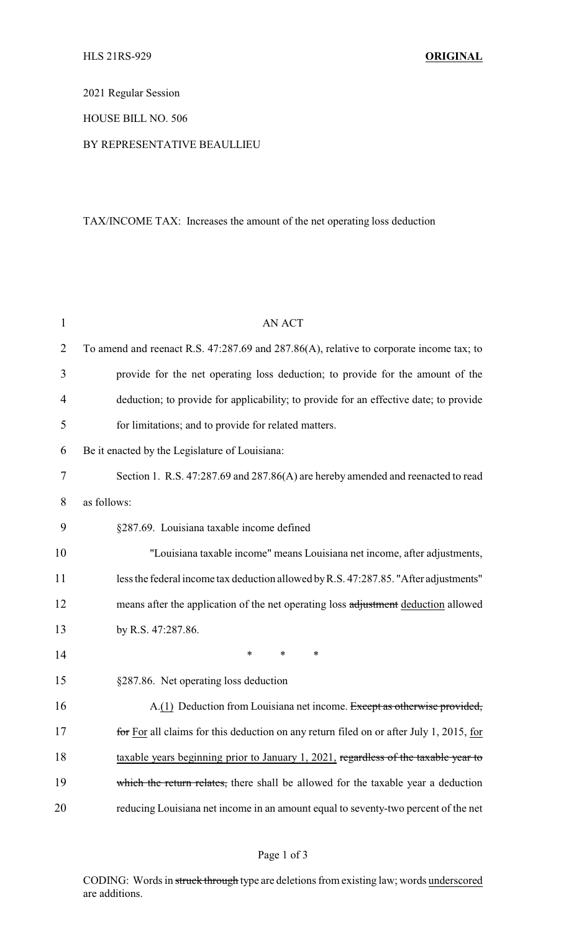2021 Regular Session

#### HOUSE BILL NO. 506

#### BY REPRESENTATIVE BEAULLIEU

# TAX/INCOME TAX: Increases the amount of the net operating loss deduction

| 1              | <b>AN ACT</b>                                                                           |
|----------------|-----------------------------------------------------------------------------------------|
| $\overline{2}$ | To amend and reenact R.S. 47:287.69 and 287.86(A), relative to corporate income tax; to |
| 3              | provide for the net operating loss deduction; to provide for the amount of the          |
| 4              | deduction; to provide for applicability; to provide for an effective date; to provide   |
| 5              | for limitations; and to provide for related matters.                                    |
| 6              | Be it enacted by the Legislature of Louisiana:                                          |
| 7              | Section 1. R.S. 47:287.69 and 287.86(A) are hereby amended and reenacted to read        |
| 8              | as follows:                                                                             |
| 9              | §287.69. Louisiana taxable income defined                                               |
| 10             | "Louisiana taxable income" means Louisiana net income, after adjustments,               |
| 11             | less the federal income tax deduction allowed by R.S. 47:287.85. "After adjustments"    |
| 12             | means after the application of the net operating loss adjustment deduction allowed      |
| 13             | by R.S. 47:287.86.                                                                      |
| 14             | $\ast$<br>*<br>*                                                                        |
| 15             | §287.86. Net operating loss deduction                                                   |
| 16             | A.(1) Deduction from Louisiana net income. Except as otherwise provided,                |
| 17             | for For all claims for this deduction on any return filed on or after July 1, 2015, for |
| 18             | taxable years beginning prior to January 1, 2021, regardless of the taxable year to     |
| 19             | which the return relates, there shall be allowed for the taxable year a deduction       |
| 20             | reducing Louisiana net income in an amount equal to seventy-two percent of the net      |

# Page 1 of 3

CODING: Words in struck through type are deletions from existing law; words underscored are additions.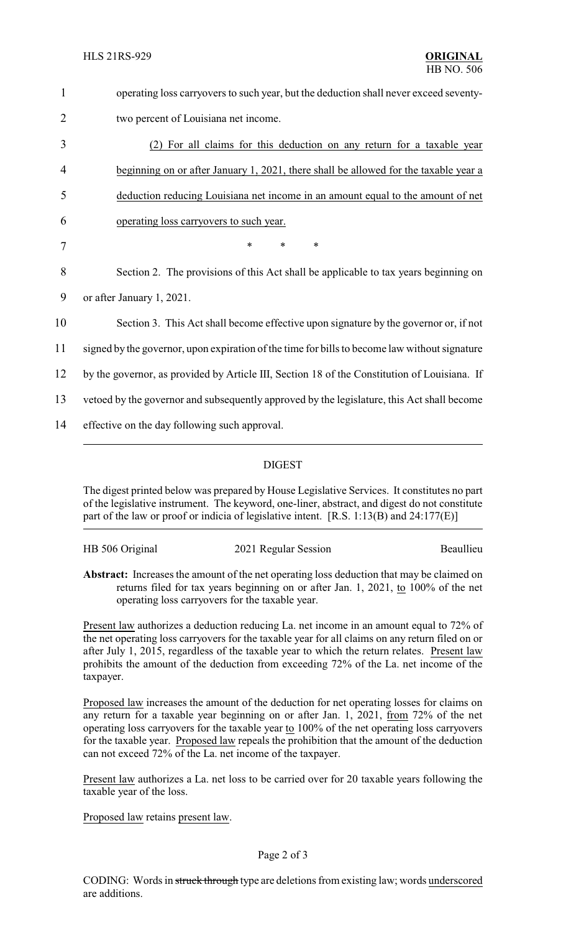| $\mathbf{1}$   | operating loss carryovers to such year, but the deduction shall never exceed seventy-         |
|----------------|-----------------------------------------------------------------------------------------------|
| $\overline{2}$ | two percent of Louisiana net income.                                                          |
| 3              | For all claims for this deduction on any return for a taxable year                            |
| 4              | beginning on or after January 1, 2021, there shall be allowed for the taxable year a          |
| 5              | deduction reducing Louisiana net income in an amount equal to the amount of net               |
| 6              | operating loss carryovers to such year.                                                       |
| 7              | $\ast$<br>*<br>$\ast$                                                                         |
| 8              | Section 2. The provisions of this Act shall be applicable to tax years beginning on           |
| 9              | or after January 1, 2021.                                                                     |
| 10             | Section 3. This Act shall become effective upon signature by the governor or, if not          |
| 11             | signed by the governor, upon expiration of the time for bills to become law without signature |
| 12             | by the governor, as provided by Article III, Section 18 of the Constitution of Louisiana. If  |
| 13             | vetoed by the governor and subsequently approved by the legislature, this Act shall become    |
| 14             | effective on the day following such approval.                                                 |
|                |                                                                                               |

### DIGEST

The digest printed below was prepared by House Legislative Services. It constitutes no part of the legislative instrument. The keyword, one-liner, abstract, and digest do not constitute part of the law or proof or indicia of legislative intent. [R.S. 1:13(B) and 24:177(E)]

HB 506 Original 2021 Regular Session Beaullieu

**Abstract:** Increases the amount of the net operating loss deduction that may be claimed on returns filed for tax years beginning on or after Jan. 1, 2021, to 100% of the net operating loss carryovers for the taxable year.

Present law authorizes a deduction reducing La. net income in an amount equal to 72% of the net operating loss carryovers for the taxable year for all claims on any return filed on or after July 1, 2015, regardless of the taxable year to which the return relates. Present law prohibits the amount of the deduction from exceeding 72% of the La. net income of the taxpayer.

Proposed law increases the amount of the deduction for net operating losses for claims on any return for a taxable year beginning on or after Jan. 1, 2021, from 72% of the net operating loss carryovers for the taxable year to 100% of the net operating loss carryovers for the taxable year. Proposed law repeals the prohibition that the amount of the deduction can not exceed 72% of the La. net income of the taxpayer.

Present law authorizes a La. net loss to be carried over for 20 taxable years following the taxable year of the loss.

Proposed law retains present law.